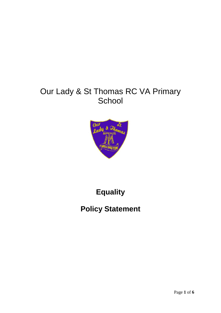# Our Lady & St Thomas RC VA Primary **School**



# **Equality**

# **Policy Statement**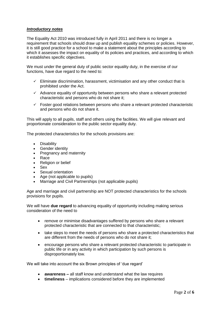## *Introductory notes*

The Equality Act 2010 was introduced fully in April 2011 and there is no longer a requirement that schools should draw up and publish equality schemes or policies. However, it is still good practice for a school to make a statement about the principles according to which it assesses the impact on equality of its policies and practices, and according to which it establishes specific objectives.

We must under the general duty of public sector equality duty, in the exercise of our functions, have due regard to the need to:

- $\checkmark$  Eliminate discrimination, harassment, victimisation and any other conduct that is prohibited under the Act.
- $\checkmark$  Advance equality of opportunity between persons who share a relevant protected characteristic and persons who do not share it;
- $\checkmark$  Foster good relations between persons who share a relevant protected characteristic and persons who do not share it.

This will apply to all pupils, staff and others using the facilities. We will give relevant and proportionate consideration to the public sector equality duty.

The protected characteristics for the schools provisions are:

- Disability
- Gender identity
- Pregnancy and maternity
- Race
- Religion or belief
- Sex
- Sexual orientation
- Age (not applicable to pupils)
- Marriage and Civil Partnerships (not applicable pupils)

Age and marriage and civil partnership are NOT protected characteristics for the schools provisions for pupils.

We will have **due regard** to advancing equality of opportunity including making serious consideration of the need to

- remove or minimise disadvantages suffered by persons who share a relevant protected characteristic that are connected to that characteristic;
- take steps to meet the needs of persons who share a protected characteristics that are different from the needs of persons who do not share it;
- encourage persons who share a relevant protected characteristic to participate in public life or in any activity in which participation by such persons is disproportionately low.

We will take into account the six Brown principles of 'due regard'

- **awareness –** all staff know and understand what the law requires
- **timeliness**  implications considered before they are implemented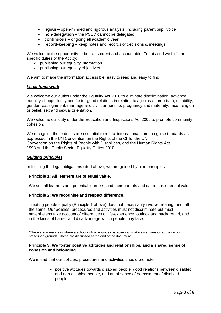- **rigour –** open-minded and rigorous analysis, including parent/pupil voice
- **non-delegation –** the PSED cannot be delegated
- **continuous –** ongoing all academic year
- **record-keeping –** keep notes and records of decisions & meetings

We welcome the opportunity to be transparent and accountable. To this end we fulfil the specific duties of the Act by:

- $\checkmark$  publishing our equality information
- $\checkmark$  publishing our equality objectives

We aim to make the information accessible, easy to read and easy to find.

#### *Legal framework*

We welcome our duties under the Equality Act 2010 to eliminate discrimination, advance equality of opportunity and foster good relations in relation to age (as appropriate), disability, gender reassignment, marriage and civil partnership, pregnancy and maternity, race, religion or belief, sex and sexual orientation.

We welcome our duty under the Education and Inspections Act 2006 to promote community cohesion.

We recognise these duties are essential to reflect international human rights standards as expressed in the UN Convention on the Rights of the Child, the UN Convention on the Rights of People with Disabilities, and the Human Rights Act 1998 and the Public Sector Equality Duties 2010.

#### *Guiding principles*

In fulfilling the legal obligations cited above, we are guided by nine principles:

#### **Principle 1: All learners are of equal value.**

We see all learners and potential learners, and their parents and carers, as of equal value.

#### **Principle 2: We recognise and respect difference.**

Treating people equally (Principle 1 above) does not necessarily involve treating them all the same. Our policies, procedures and activities must not discriminate but must nevertheless take account of differences of life-experience, outlook and background, and in the kinds of barrier and disadvantage which people may face.

\*There are some areas where a school with a religious character can make exceptions on some certain prescribed grounds. These are discussed at the end of the document.

**Principle 3: We foster positive attitudes and relationships, and a shared sense of cohesion and belonging.**

We intend that our policies, procedures and activities should promote:

 positive attitudes towards disabled people, good relations between disabled and non-disabled people, and an absence of harassment of disabled people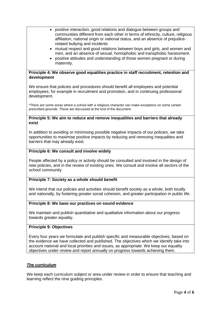- positive interaction, good relations and dialogue between groups and communities different from each other in terms of ethnicity, culture, religious affiliation, national origin or national status, and an absence of prejudicerelated bullying and incidents
- mutual respect and good relations between boys and girls, and women and men, and an absence of sexual, homophobic and transphobic harassment.
- positive attitudes and understanding of those women pregnant or during maternity.

## **Principle 4: We observe good equalities practice in staff recruitment, retention and development**

We ensure that policies and procedures should benefit all employees and potential employees, for example in recruitment and promotion, and in continuing professional development.

\*There are some areas where a school with a religious character can make exceptions on some certain prescribed grounds. These are discussed at the end of the document.

#### **Principle 5: We aim to reduce and remove inequalities and barriers that already exist**

In addition to avoiding or minimising possible negative impacts of our policies, we take opportunities to maximise positive impacts by reducing and removing inequalities and barriers that may already exist.

# **Principle 6: We consult and involve widely**

People affected by a policy or activity should be consulted and involved in the design of new policies, and in the review of existing ones. We consult and involve all sectors of the school community.

# **Principle 7: Society as a whole should benefit**

We intend that our policies and activities should benefit society as a whole, both locally and nationally, by fostering greater social cohesion, and greater participation in public life.

#### **Principle 8: We base our practices on sound evidence**

We maintain and publish quantitative and qualitative information about our progress towards greater equality.

## **Principle 9: Objectives**

Every four years we formulate and publish specific and measurable objectives, based on the evidence we have collected and published. The objectives which we identify take into account national and local priorities and issues, as appropriate. We keep our equality objectives under review and report annually on progress towards achieving them.

# *The curriculum*

We keep each curriculum subject or area under review in order to ensure that teaching and learning reflect the nine guiding principles.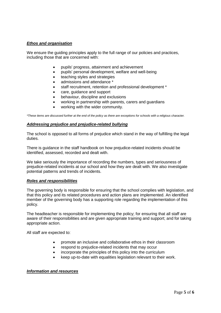# *Ethos and organisation*

We ensure the guiding principles apply to the full range of our policies and practices, including those that are concerned with:

- pupils' progress, attainment and achievement
- pupils' personal development, welfare and well-being
- teaching styles and strategies
- admissions and attendance  $*$
- staff recruitment, retention and professional development \*
- care, guidance and support
- behaviour, discipline and exclusions
- working in partnership with parents, carers and guardians
- working with the wider community.

*\*These items are discussed further at the end of the policy as there are exceptions for schools with a religious character.*

#### *Addressing prejudice and prejudice-related bullying*

The school is opposed to all forms of prejudice which stand in the way of fulfilling the legal duties.

There is guidance in the staff handbook on how prejudice-related incidents should be identified, assessed, recorded and dealt with.

We take seriously the importance of recording the numbers, types and seriousness of prejudice-related incidents at our school and how they are dealt with. We also investigate potential patterns and trends of incidents.

#### *Roles and responsibilities*

The governing body is responsible for ensuring that the school complies with legislation, and that this policy and its related procedures and action plans are implemented. An identified member of the governing body has a supporting role regarding the implementation of this policy.

The headteacher is responsible for implementing the policy; for ensuring that all staff are aware of their responsibilities and are given appropriate training and support; and for taking appropriate action.

All staff are expected to:

- promote an inclusive and collaborative ethos in their classroom
- respond to prejudice-related incidents that may occur
- incorporate the principles of this policy into the curriculum
- keep up-to-date with equalities legislation relevant to their work.

#### *Information and resources*